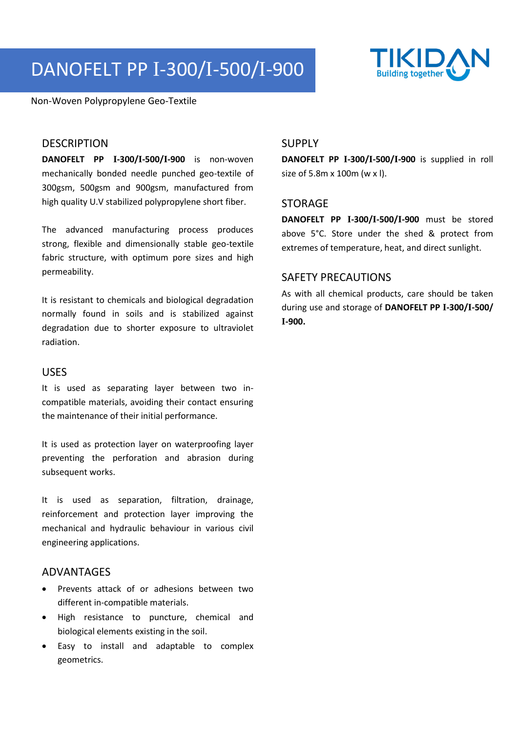# DANOFELT PP I-300/I-500/I-900



Non-Woven Polypropylene Geo-Textile

#### **DESCRIPTION**

**DANOFELT PP I-300/I-500/I-900** is non-woven mechanically bonded needle punched geo-textile of 300gsm, 500gsm and 900gsm, manufactured from high quality U.V stabilized polypropylene short fiber.

The advanced manufacturing process produces strong, flexible and dimensionally stable geo-textile fabric structure, with optimum pore sizes and high permeability.

It is resistant to chemicals and biological degradation normally found in soils and is stabilized against degradation due to shorter exposure to ultraviolet radiation.

#### USES

It is used as separating layer between two incompatible materials, avoiding their contact ensuring the maintenance of their initial performance.

It is used as protection layer on waterproofing layer preventing the perforation and abrasion during subsequent works.

It is used as separation, filtration, drainage, reinforcement and protection layer improving the mechanical and hydraulic behaviour in various civil engineering applications.

#### ADVANTAGES

- Prevents attack of or adhesions between two different in-compatible materials.
- High resistance to puncture, chemical and biological elements existing in the soil.
- Easy to install and adaptable to complex geometrics.

### SUPPLY

**DANOFELT PP I-300/I-500/I-900** is supplied in roll size of 5.8m x 100m (w x l).

#### STORAGE

**DANOFELT PP I-300/I-500/I-900** must be stored above 5°C. Store under the shed & protect from extremes of temperature, heat, and direct sunlight.

## SAFETY PRECAUTIONS

As with all chemical products, care should be taken during use and storage of **DANOFELT PP I-300/I-500/ I-900.**